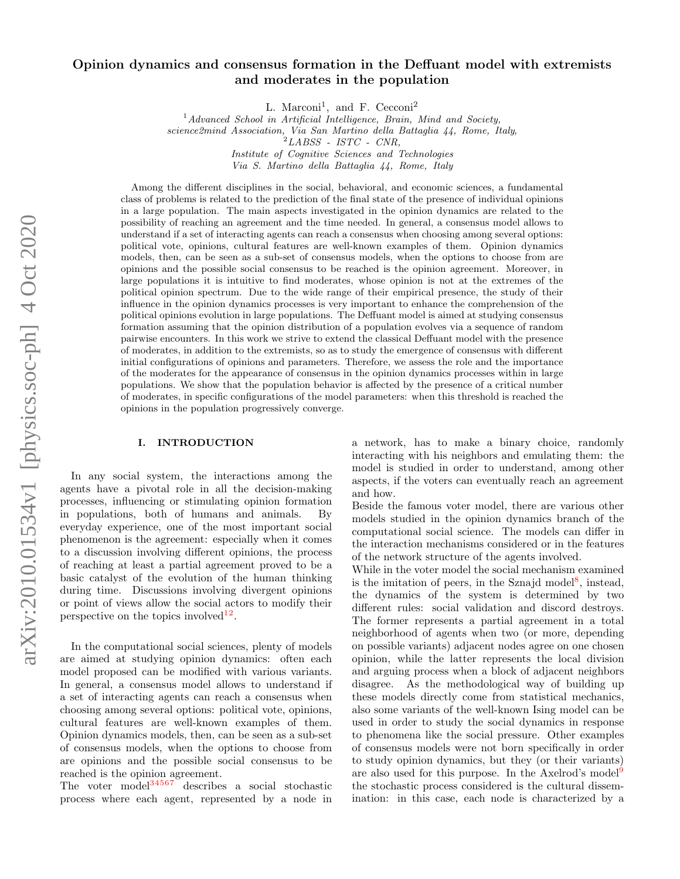# Opinion dynamics and consensus formation in the Deffuant model with extremists and moderates in the population

L. Marconi<sup>1</sup>, and F. Cecconi<sup>2</sup>

 $<sup>1</sup> Advanced School in Artificial Intelligence, Brain, Mind and Society,$ </sup> science2mind Association, Via San Martino della Battaglia 44, Rome, Italy,  $^2\emph{LABSS}$  -  $\emph{ISTC}$  -  $\emph{CNR},$ Institute of Cognitive Sciences and Technologies

Via S. Martino della Battaglia 44, Rome, Italy

Among the different disciplines in the social, behavioral, and economic sciences, a fundamental class of problems is related to the prediction of the final state of the presence of individual opinions in a large population. The main aspects investigated in the opinion dynamics are related to the possibility of reaching an agreement and the time needed. In general, a consensus model allows to understand if a set of interacting agents can reach a consensus when choosing among several options: political vote, opinions, cultural features are well-known examples of them. Opinion dynamics models, then, can be seen as a sub-set of consensus models, when the options to choose from are opinions and the possible social consensus to be reached is the opinion agreement. Moreover, in large populations it is intuitive to find moderates, whose opinion is not at the extremes of the political opinion spectrum. Due to the wide range of their empirical presence, the study of their influence in the opinion dynamics processes is very important to enhance the comprehension of the political opinions evolution in large populations. The Deffuant model is aimed at studying consensus formation assuming that the opinion distribution of a population evolves via a sequence of random pairwise encounters. In this work we strive to extend the classical Deffuant model with the presence of moderates, in addition to the extremists, so as to study the emergence of consensus with different initial configurations of opinions and parameters. Therefore, we assess the role and the importance of the moderates for the appearance of consensus in the opinion dynamics processes within in large populations. We show that the population behavior is affected by the presence of a critical number of moderates, in specific configurations of the model parameters: when this threshold is reached the opinions in the population progressively converge.

#### I. INTRODUCTION

In any social system, the interactions among the agents have a pivotal role in all the decision-making processes, influencing or stimulating opinion formation in populations, both of humans and animals. By everyday experience, one of the most important social phenomenon is the agreement: especially when it comes to a discussion involving different opinions, the process of reaching at least a partial agreement proved to be a basic catalyst of the evolution of the human thinking during time. Discussions involving divergent opinions or point of views allow the social actors to modify their perspective on the topics involved<sup>[1](#page-6-0)[2](#page-6-1)</sup>.

In the computational social sciences, plenty of models are aimed at studying opinion dynamics: often each model proposed can be modified with various variants. In general, a consensus model allows to understand if a set of interacting agents can reach a consensus when choosing among several options: political vote, opinions, cultural features are well-known examples of them. Opinion dynamics models, then, can be seen as a sub-set of consensus models, when the options to choose from are opinions and the possible social consensus to be reached is the opinion agreement.

The voter model $34567$  $34567$  $34567$  $34567$  $34567$  describes a social stochastic process where each agent, represented by a node in

a network, has to make a binary choice, randomly interacting with his neighbors and emulating them: the model is studied in order to understand, among other aspects, if the voters can eventually reach an agreement and how.

Beside the famous voter model, there are various other models studied in the opinion dynamics branch of the computational social science. The models can differ in the interaction mechanisms considered or in the features of the network structure of the agents involved.

While in the voter model the social mechanism examined is the imitation of peers, in the Sznajd model<sup>[8](#page-6-7)</sup>, instead, the dynamics of the system is determined by two different rules: social validation and discord destroys. The former represents a partial agreement in a total neighborhood of agents when two (or more, depending on possible variants) adjacent nodes agree on one chosen opinion, while the latter represents the local division and arguing process when a block of adjacent neighbors disagree. As the methodological way of building up these models directly come from statistical mechanics, also some variants of the well-known Ising model can be used in order to study the social dynamics in response to phenomena like the social pressure. Other examples of consensus models were not born specifically in order to study opinion dynamics, but they (or their variants) are also used for this purpose. In the Axelrod's model<sup>[9](#page-6-8)</sup> the stochastic process considered is the cultural dissemination: in this case, each node is characterized by a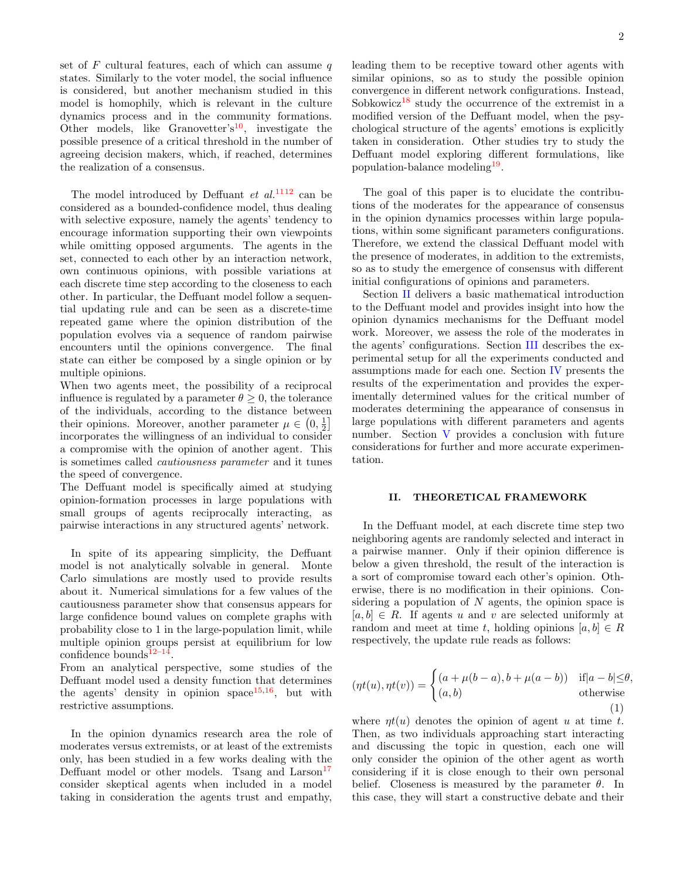set of  $F$  cultural features, each of which can assume  $q$ states. Similarly to the voter model, the social influence is considered, but another mechanism studied in this model is homophily, which is relevant in the culture dynamics process and in the community formations. Other models, like Granovetter's<sup>[10](#page-6-9)</sup>, investigate the possible presence of a critical threshold in the number of agreeing decision makers, which, if reached, determines the realization of a consensus.

The model introduced by Deffuant  $et \ al.<sup>1112</sup>$  $et \ al.<sup>1112</sup>$  $et \ al.<sup>1112</sup>$  $et \ al.<sup>1112</sup>$  can be considered as a bounded-confidence model, thus dealing with selective exposure, namely the agents' tendency to encourage information supporting their own viewpoints while omitting opposed arguments. The agents in the set, connected to each other by an interaction network, own continuous opinions, with possible variations at each discrete time step according to the closeness to each other. In particular, the Deffuant model follow a sequential updating rule and can be seen as a discrete-time repeated game where the opinion distribution of the population evolves via a sequence of random pairwise encounters until the opinions convergence. The final state can either be composed by a single opinion or by multiple opinions.

When two agents meet, the possibility of a reciprocal influence is regulated by a parameter  $\theta \geq 0$ , the tolerance of the individuals, according to the distance between their opinions. Moreover, another parameter  $\mu \in \left(0, \frac{1}{2}\right]$ incorporates the willingness of an individual to consider a compromise with the opinion of another agent. This is sometimes called cautiousness parameter and it tunes the speed of convergence.

The Deffuant model is specifically aimed at studying opinion-formation processes in large populations with small groups of agents reciprocally interacting, as pairwise interactions in any structured agents' network.

In spite of its appearing simplicity, the Deffuant model is not analytically solvable in general. Monte Carlo simulations are mostly used to provide results about it. Numerical simulations for a few values of the cautiousness parameter show that consensus appears for large confidence bound values on complete graphs with probability close to 1 in the large-population limit, while multiple opinion groups persist at equilibrium for low confidence bounds $12-14$  $12-14$ .

From an analytical perspective, some studies of the Deffuant model used a density function that determines the agents' density in opinion space<sup>[15](#page-6-13)[,16](#page-6-14)</sup>, but with restrictive assumptions.

In the opinion dynamics research area the role of moderates versus extremists, or at least of the extremists only, has been studied in a few works dealing with the Deffuant model or other models. Tsang and  $\text{Larson}^{17}$  $\text{Larson}^{17}$  $\text{Larson}^{17}$ consider skeptical agents when included in a model taking in consideration the agents trust and empathy,

leading them to be receptive toward other agents with similar opinions, so as to study the possible opinion convergence in different network configurations. Instead, Sobkowicz<sup>[18](#page-6-16)</sup> study the occurrence of the extremist in a modified version of the Deffuant model, when the psychological structure of the agents' emotions is explicitly taken in consideration. Other studies try to study the Deffuant model exploring different formulations, like population-balance modeling<sup>[19](#page-6-17)</sup>.

The goal of this paper is to elucidate the contributions of the moderates for the appearance of consensus in the opinion dynamics processes within large populations, within some significant parameters configurations. Therefore, we extend the classical Deffuant model with the presence of moderates, in addition to the extremists, so as to study the emergence of consensus with different initial configurations of opinions and parameters.

Section [II](#page-1-0) delivers a basic mathematical introduction to the Deffuant model and provides insight into how the opinion dynamics mechanisms for the Deffuant model work. Moreover, we assess the role of the moderates in the agents' configurations. Section [III](#page-3-0) describes the experimental setup for all the experiments conducted and assumptions made for each one. Section [IV](#page-4-0) presents the results of the experimentation and provides the experimentally determined values for the critical number of moderates determining the appearance of consensus in large populations with different parameters and agents number. Section [V](#page-5-0) provides a conclusion with future considerations for further and more accurate experimentation.

#### <span id="page-1-0"></span>II. THEORETICAL FRAMEWORK

In the Deffuant model, at each discrete time step two neighboring agents are randomly selected and interact in a pairwise manner. Only if their opinion difference is below a given threshold, the result of the interaction is a sort of compromise toward each other's opinion. Otherwise, there is no modification in their opinions. Considering a population of  $N$  agents, the opinion space is  $[a, b] \in R$ . If agents u and v are selected uniformly at random and meet at time t, holding opinions  $[a, b] \in R$ respectively, the update rule reads as follows:

$$
(\eta t(u), \eta t(v)) = \begin{cases} (a + \mu(b-a), b + \mu(a-b)) & \text{if } |a-b| \le \theta, \\ (a, b) & \text{otherwise} \end{cases}
$$
 (1)

where  $\eta t(u)$  denotes the opinion of agent u at time t. Then, as two individuals approaching start interacting and discussing the topic in question, each one will only consider the opinion of the other agent as worth considering if it is close enough to their own personal belief. Closeness is measured by the parameter  $\theta$ . In this case, they will start a constructive debate and their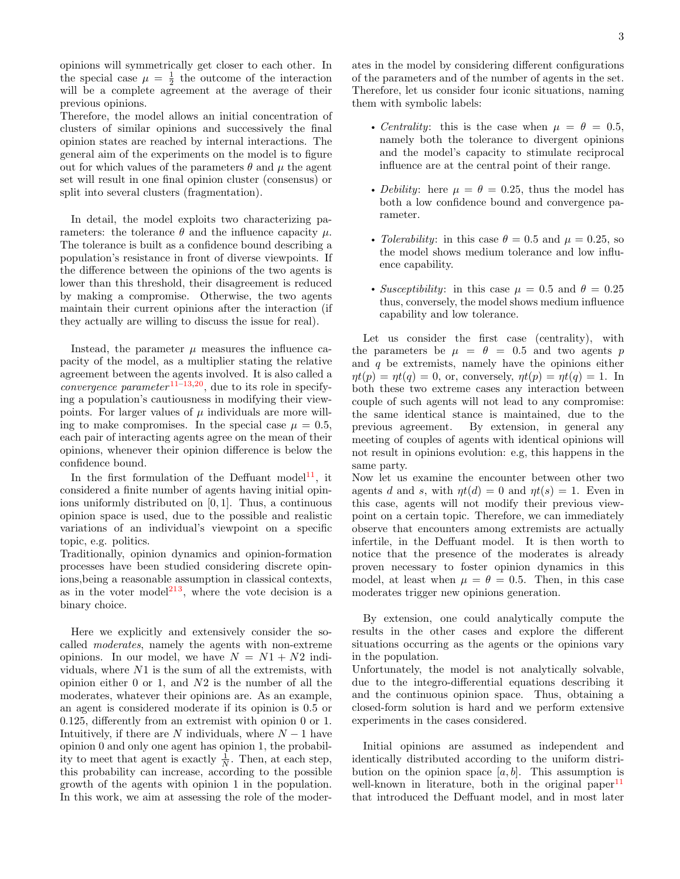opinions will symmetrically get closer to each other. In the special case  $\mu = \frac{1}{2}$  the outcome of the interaction will be a complete agreement at the average of their previous opinions.

Therefore, the model allows an initial concentration of clusters of similar opinions and successively the final opinion states are reached by internal interactions. The general aim of the experiments on the model is to figure out for which values of the parameters  $\theta$  and  $\mu$  the agent set will result in one final opinion cluster (consensus) or split into several clusters (fragmentation).

In detail, the model exploits two characterizing parameters: the tolerance  $\theta$  and the influence capacity  $\mu$ . The tolerance is built as a confidence bound describing a population's resistance in front of diverse viewpoints. If the difference between the opinions of the two agents is lower than this threshold, their disagreement is reduced by making a compromise. Otherwise, the two agents maintain their current opinions after the interaction (if they actually are willing to discuss the issue for real).

Instead, the parameter  $\mu$  measures the influence capacity of the model, as a multiplier stating the relative agreement between the agents involved. It is also called a *convergence parameter*  $11-13,20$  $11-13,20$  $11-13,20$ , due to its role in specifying a population's cautiousness in modifying their viewpoints. For larger values of  $\mu$  individuals are more willing to make compromises. In the special case  $\mu = 0.5$ , each pair of interacting agents agree on the mean of their opinions, whenever their opinion difference is below the confidence bound.

In the first formulation of the Deffuant model<sup>[11](#page-6-10)</sup>, it considered a finite number of agents having initial opinions uniformly distributed on [0, 1]. Thus, a continuous opinion space is used, due to the possible and realistic variations of an individual's viewpoint on a specific topic, e.g. politics.

Traditionally, opinion dynamics and opinion-formation processes have been studied considering discrete opinions,being a reasonable assumption in classical contexts, as in the voter model<sup>[21](#page-6-20)[3](#page-6-2)</sup>, where the vote decision is a binary choice.

Here we explicitly and extensively consider the socalled moderates, namely the agents with non-extreme opinions. In our model, we have  $N = N1 + N2$  individuals, where N1 is the sum of all the extremists, with opinion either 0 or 1, and N2 is the number of all the moderates, whatever their opinions are. As an example, an agent is considered moderate if its opinion is 0.5 or 0.125, differently from an extremist with opinion 0 or 1. Intuitively, if there are N individuals, where  $N-1$  have opinion 0 and only one agent has opinion 1, the probability to meet that agent is exactly  $\frac{1}{N}$ . Then, at each step, this probability can increase, according to the possible growth of the agents with opinion 1 in the population. In this work, we aim at assessing the role of the moderates in the model by considering different configurations of the parameters and of the number of agents in the set. Therefore, let us consider four iconic situations, naming them with symbolic labels:

- Centrality: this is the case when  $\mu = \theta = 0.5$ , namely both the tolerance to divergent opinions and the model's capacity to stimulate reciprocal influence are at the central point of their range.
- Debility: here  $\mu = \theta = 0.25$ , thus the model has both a low confidence bound and convergence parameter.
- Tolerability: in this case  $\theta = 0.5$  and  $\mu = 0.25$ , so the model shows medium tolerance and low influence capability.
- Susceptibility: in this case  $\mu = 0.5$  and  $\theta = 0.25$ thus, conversely, the model shows medium influence capability and low tolerance.

Let us consider the first case (centrality), with the parameters be  $\mu = \theta = 0.5$  and two agents p and  $q$  be extremists, namely have the opinions either  $\eta t(p) = \eta t(q) = 0$ , or, conversely,  $\eta t(p) = \eta t(q) = 1$ . In both these two extreme cases any interaction between couple of such agents will not lead to any compromise: the same identical stance is maintained, due to the previous agreement. By extension, in general any meeting of couples of agents with identical opinions will not result in opinions evolution: e.g, this happens in the same party.

Now let us examine the encounter between other two agents d and s, with  $\eta t(d) = 0$  and  $\eta t(s) = 1$ . Even in this case, agents will not modify their previous viewpoint on a certain topic. Therefore, we can immediately observe that encounters among extremists are actually infertile, in the Deffuant model. It is then worth to notice that the presence of the moderates is already proven necessary to foster opinion dynamics in this model, at least when  $\mu = \theta = 0.5$ . Then, in this case moderates trigger new opinions generation.

By extension, one could analytically compute the results in the other cases and explore the different situations occurring as the agents or the opinions vary in the population.

Unfortunately, the model is not analytically solvable, due to the integro-differential equations describing it and the continuous opinion space. Thus, obtaining a closed-form solution is hard and we perform extensive experiments in the cases considered.

Initial opinions are assumed as independent and identically distributed according to the uniform distribution on the opinion space  $[a, b]$ . This assumption is well-known in literature, both in the original paper<sup>[11](#page-6-10)</sup> that introduced the Deffuant model, and in most later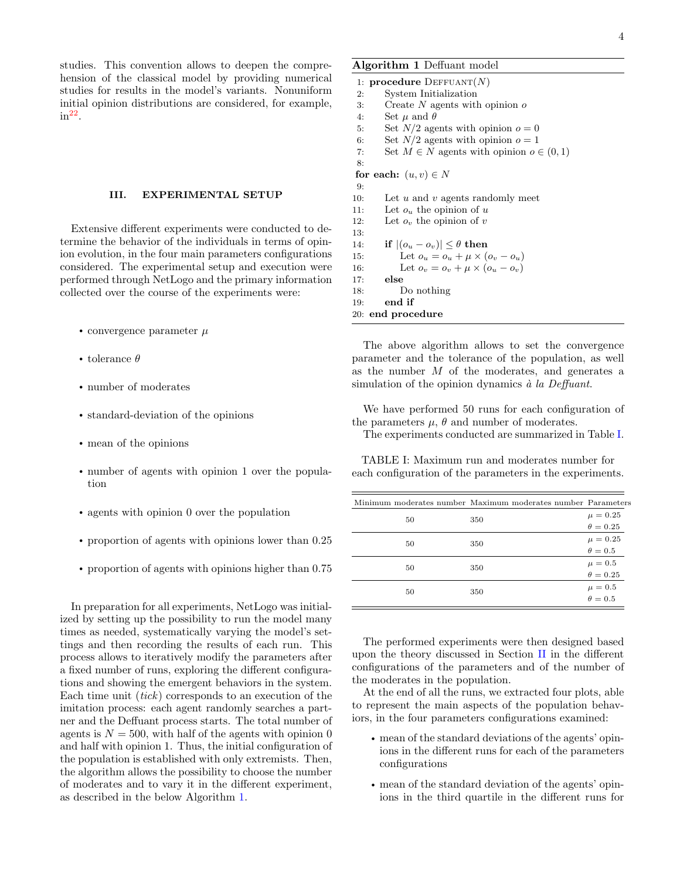4

studies. This convention allows to deepen the comprehension of the classical model by providing numerical studies for results in the model's variants. Nonuniform initial opinion distributions are considered, for example,  $in<sup>22</sup>$  $in<sup>22</sup>$  $in<sup>22</sup>$ .

### <span id="page-3-0"></span>III. EXPERIMENTAL SETUP

Extensive different experiments were conducted to determine the behavior of the individuals in terms of opinion evolution, in the four main parameters configurations considered. The experimental setup and execution were performed through NetLogo and the primary information collected over the course of the experiments were:

- convergence parameter  $\mu$
- tolerance  $\theta$
- number of moderates
- standard-deviation of the opinions
- mean of the opinions
- number of agents with opinion 1 over the population
- agents with opinion 0 over the population
- proportion of agents with opinions lower than 0.25
- proportion of agents with opinions higher than 0.75

In preparation for all experiments, NetLogo was initialized by setting up the possibility to run the model many times as needed, systematically varying the model's settings and then recording the results of each run. This process allows to iteratively modify the parameters after a fixed number of runs, exploring the different configurations and showing the emergent behaviors in the system. Each time unit  $(tick)$  corresponds to an execution of the imitation process: each agent randomly searches a partner and the Deffuant process starts. The total number of agents is  $N = 500$ , with half of the agents with opinion 0 and half with opinion 1. Thus, the initial configuration of the population is established with only extremists. Then, the algorithm allows the possibility to choose the number of moderates and to vary it in the different experiment, as described in the below Algorithm [1.](#page-3-1)

## <span id="page-3-1"></span>Algorithm 1 Deffuant model

|     | 1: <b>procedure</b> DEFFUANT $(N)$              |
|-----|-------------------------------------------------|
| 2:  | System Initialization                           |
| 3:  | Create $N$ agents with opinion $\sigma$         |
| 4:  | Set $\mu$ and $\theta$                          |
| 5:  | Set $N/2$ agents with opinion $o=0$             |
| 6:  | Set $N/2$ agents with opinion $o=1$             |
| 7:  | Set $M \in N$ agents with opinion $o \in (0,1)$ |
| 8:  |                                                 |
|     | for each: $(u, v) \in N$                        |
| 9:  |                                                 |
| 10: | Let $u$ and $v$ agents randomly meet            |
| 11: | Let $o_u$ the opinion of u                      |
| 12: | Let $o_v$ the opinion of v                      |
| 13: |                                                 |
| 14: | if $ (o_n - o_n)  \leq \theta$ then             |
| 15: | Let $o_u = o_u + \mu \times (o_v - o_u)$        |
| 16: | Let $o_v = o_v + \mu \times (o_u - o_v)$        |
| 17: | else                                            |
| 18: | Do nothing                                      |
| 19: | end if                                          |
|     | 20: end procedure                               |

The above algorithm allows to set the convergence parameter and the tolerance of the population, as well as the number M of the moderates, and generates a simulation of the opinion dynamics  $\dot{a}$  la Deffuant.

We have performed 50 runs for each configuration of the parameters  $\mu$ ,  $\theta$  and number of moderates.

The experiments conducted are summarized in Table [I.](#page-3-2)

<span id="page-3-2"></span>TABLE I: Maximum run and moderates number for each configuration of the parameters in the experiments.

| 350 | $\mu = 0.25$                                                |
|-----|-------------------------------------------------------------|
|     | $\theta = 0.25$                                             |
| 350 | $\mu=0.25$                                                  |
|     | $\theta = 0.5$                                              |
| 350 | $\mu = 0.5$                                                 |
|     | $\theta = 0.25$                                             |
|     |                                                             |
|     | $\begin{aligned} \mu &= 0.5 \\ \theta &= 0.5 \end{aligned}$ |
|     | 350                                                         |

The performed experiments were then designed based upon the theory discussed in Section [II](#page-1-0) in the different configurations of the parameters and of the number of the moderates in the population.

At the end of all the runs, we extracted four plots, able to represent the main aspects of the population behaviors, in the four parameters configurations examined:

- mean of the standard deviations of the agents' opinions in the different runs for each of the parameters configurations
- mean of the standard deviation of the agents' opinions in the third quartile in the different runs for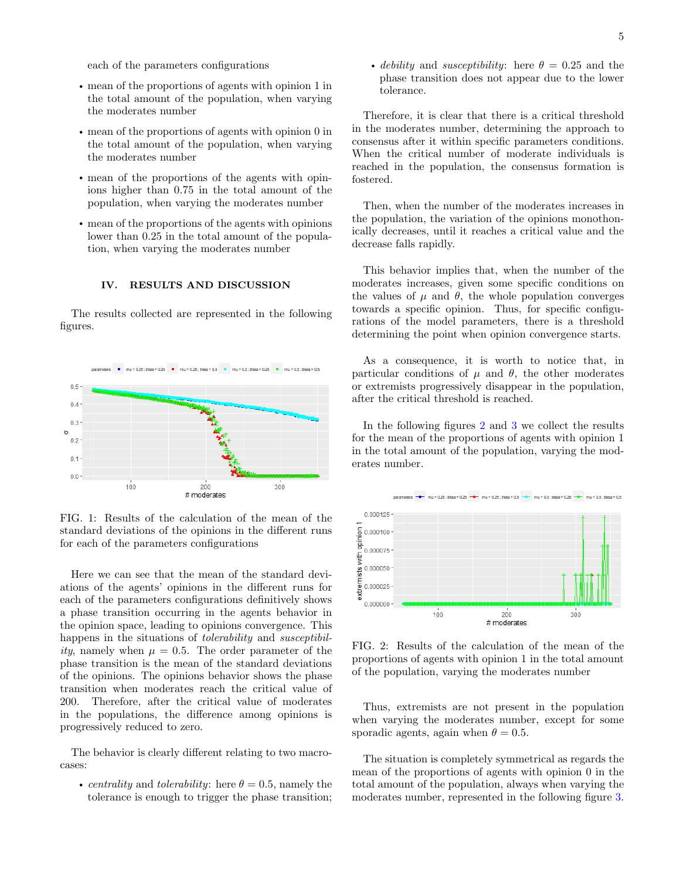each of the parameters configurations

- mean of the proportions of agents with opinion 1 in the total amount of the population, when varying the moderates number
- mean of the proportions of agents with opinion 0 in the total amount of the population, when varying the moderates number
- mean of the proportions of the agents with opinions higher than 0.75 in the total amount of the population, when varying the moderates number
- mean of the proportions of the agents with opinions lower than 0.25 in the total amount of the population, when varying the moderates number

#### <span id="page-4-0"></span>IV. RESULTS AND DISCUSSION

The results collected are represented in the following figures.



FIG. 1: Results of the calculation of the mean of the standard deviations of the opinions in the different runs for each of the parameters configurations

Here we can see that the mean of the standard deviations of the agents' opinions in the different runs for each of the parameters configurations definitively shows a phase transition occurring in the agents behavior in the opinion space, leading to opinions convergence. This happens in the situations of *tolerability* and *susceptibil*ity, namely when  $\mu = 0.5$ . The order parameter of the phase transition is the mean of the standard deviations of the opinions. The opinions behavior shows the phase transition when moderates reach the critical value of 200. Therefore, after the critical value of moderates in the populations, the difference among opinions is progressively reduced to zero.

The behavior is clearly different relating to two macrocases:

• centrality and tolerability: here  $\theta = 0.5$ , namely the tolerance is enough to trigger the phase transition; • debility and susceptibility: here  $\theta = 0.25$  and the phase transition does not appear due to the lower tolerance.

Therefore, it is clear that there is a critical threshold in the moderates number, determining the approach to consensus after it within specific parameters conditions. When the critical number of moderate individuals is reached in the population, the consensus formation is fostered.

Then, when the number of the moderates increases in the population, the variation of the opinions monothonically decreases, until it reaches a critical value and the decrease falls rapidly.

This behavior implies that, when the number of the moderates increases, given some specific conditions on the values of  $\mu$  and  $\theta$ , the whole population converges towards a specific opinion. Thus, for specific configurations of the model parameters, there is a threshold determining the point when opinion convergence starts.

As a consequence, it is worth to notice that, in particular conditions of  $\mu$  and  $\theta$ , the other moderates or extremists progressively disappear in the population, after the critical threshold is reached.

In the following figures [2](#page-4-1) and [3](#page-5-1) we collect the results for the mean of the proportions of agents with opinion 1 in the total amount of the population, varying the moderates number.

<span id="page-4-1"></span>

FIG. 2: Results of the calculation of the mean of the proportions of agents with opinion 1 in the total amount of the population, varying the moderates number

Thus, extremists are not present in the population when varying the moderates number, except for some sporadic agents, again when  $\theta = 0.5$ .

The situation is completely symmetrical as regards the mean of the proportions of agents with opinion 0 in the total amount of the population, always when varying the moderates number, represented in the following figure [3.](#page-5-1)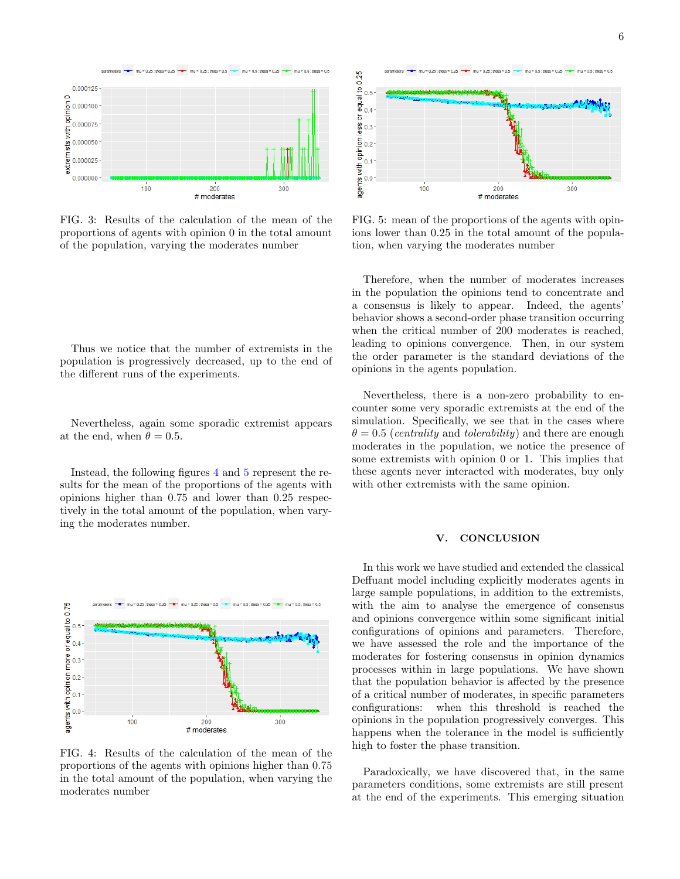<span id="page-5-1"></span>

FIG. 3: Results of the calculation of the mean of the proportions of agents with opinion 0 in the total amount of the population, varying the moderates number

Thus we notice that the number of extremists in the population is progressively decreased, up to the end of the different runs of the experiments.

Nevertheless, again some sporadic extremist appears at the end, when  $\theta = 0.5$ .

Instead, the following figures [4](#page-5-2) and [5](#page-5-3) represent the results for the mean of the proportions of the agents with opinions higher than 0.75 and lower than 0.25 respectively in the total amount of the population, when varying the moderates number.

<span id="page-5-2"></span>

FIG. 4: Results of the calculation of the mean of the proportions of the agents with opinions higher than 0.75 in the total amount of the population, when varying the moderates number

<span id="page-5-3"></span>

FIG. 5: mean of the proportions of the agents with opinions lower than 0.25 in the total amount of the population, when varying the moderates number

Therefore, when the number of moderates increases in the population the opinions tend to concentrate and a consensus is likely to appear. Indeed, the agents' behavior shows a second-order phase transition occurring when the critical number of 200 moderates is reached, leading to opinions convergence. Then, in our system the order parameter is the standard deviations of the opinions in the agents population.

Nevertheless, there is a non-zero probability to encounter some very sporadic extremists at the end of the simulation. Specifically, we see that in the cases where  $\theta = 0.5$  (*centrality* and *tolerability*) and there are enough moderates in the population, we notice the presence of some extremists with opinion 0 or 1. This implies that these agents never interacted with moderates, buy only with other extremists with the same opinion.

#### <span id="page-5-0"></span>V. CONCLUSION

In this work we have studied and extended the classical Deffuant model including explicitly moderates agents in large sample populations, in addition to the extremists, with the aim to analyse the emergence of consensus and opinions convergence within some significant initial configurations of opinions and parameters. Therefore, we have assessed the role and the importance of the moderates for fostering consensus in opinion dynamics processes within in large populations. We have shown that the population behavior is affected by the presence of a critical number of moderates, in specific parameters configurations: when this threshold is reached the opinions in the population progressively converges. This happens when the tolerance in the model is sufficiently high to foster the phase transition.

Paradoxically, we have discovered that, in the same parameters conditions, some extremists are still present at the end of the experiments. This emerging situation